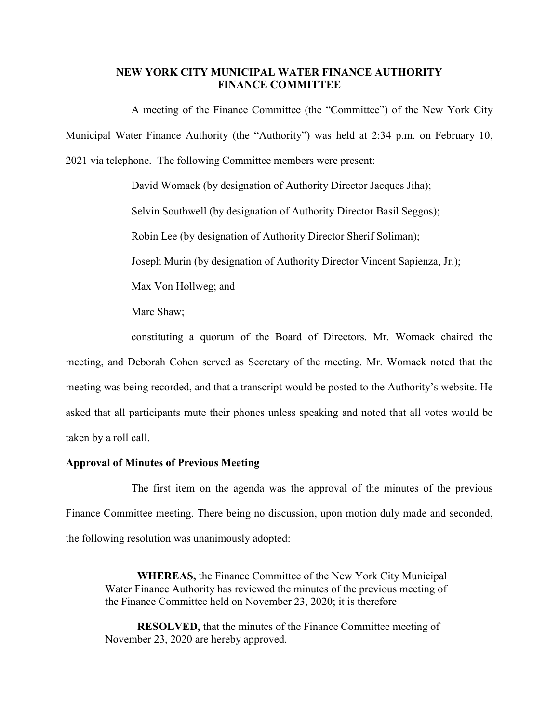#### **NEW YORK CITY MUNICIPAL WATER FINANCE AUTHORITY FINANCE COMMITTEE**

A meeting of the Finance Committee (the "Committee") of the New York City Municipal Water Finance Authority (the "Authority") was held at 2:34 p.m. on February 10, 2021 via telephone. The following Committee members were present:

David Womack (by designation of Authority Director Jacques Jiha);

Selvin Southwell (by designation of Authority Director Basil Seggos);

Robin Lee (by designation of Authority Director Sherif Soliman);

Joseph Murin (by designation of Authority Director Vincent Sapienza, Jr.);

Max Von Hollweg; and

Marc Shaw;

constituting a quorum of the Board of Directors. Mr. Womack chaired the meeting, and Deborah Cohen served as Secretary of the meeting. Mr. Womack noted that the meeting was being recorded, and that a transcript would be posted to the Authority's website. He asked that all participants mute their phones unless speaking and noted that all votes would be taken by a roll call.

## **Approval of Minutes of Previous Meeting**

The first item on the agenda was the approval of the minutes of the previous Finance Committee meeting. There being no discussion, upon motion duly made and seconded, the following resolution was unanimously adopted:

**WHEREAS,** the Finance Committee of the New York City Municipal Water Finance Authority has reviewed the minutes of the previous meeting of the Finance Committee held on November 23, 2020; it is therefore

**RESOLVED,** that the minutes of the Finance Committee meeting of November 23, 2020 are hereby approved.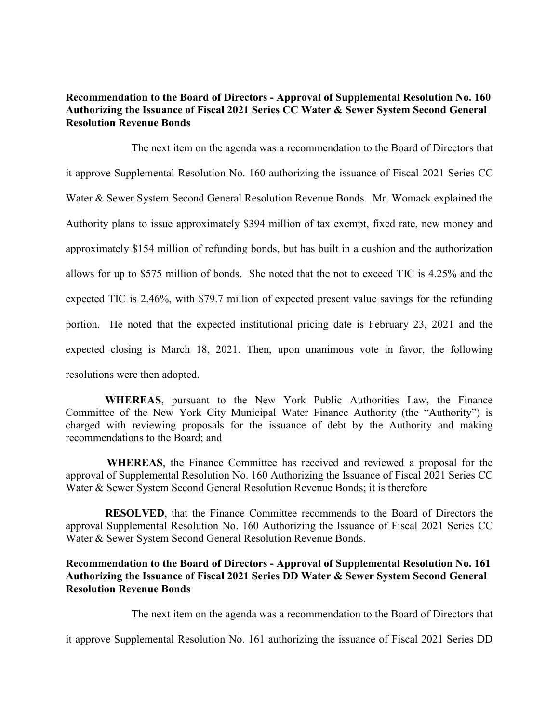## **Recommendation to the Board of Directors - Approval of Supplemental Resolution No. 160 Authorizing the Issuance of Fiscal 2021 Series CC Water & Sewer System Second General Resolution Revenue Bonds**

The next item on the agenda was a recommendation to the Board of Directors that it approve Supplemental Resolution No. 160 authorizing the issuance of Fiscal 2021 Series CC Water & Sewer System Second General Resolution Revenue Bonds. Mr. Womack explained the Authority plans to issue approximately \$394 million of tax exempt, fixed rate, new money and approximately \$154 million of refunding bonds, but has built in a cushion and the authorization allows for up to \$575 million of bonds. She noted that the not to exceed TIC is 4.25% and the expected TIC is 2.46%, with \$79.7 million of expected present value savings for the refunding portion. He noted that the expected institutional pricing date is February 23, 2021 and the expected closing is March 18, 2021. Then, upon unanimous vote in favor, the following resolutions were then adopted.

**WHEREAS**, pursuant to the New York Public Authorities Law, the Finance Committee of the New York City Municipal Water Finance Authority (the "Authority") is charged with reviewing proposals for the issuance of debt by the Authority and making recommendations to the Board; and

**WHEREAS**, the Finance Committee has received and reviewed a proposal for the approval of Supplemental Resolution No. 160 Authorizing the Issuance of Fiscal 2021 Series CC Water & Sewer System Second General Resolution Revenue Bonds; it is therefore

**RESOLVED**, that the Finance Committee recommends to the Board of Directors the approval Supplemental Resolution No. 160 Authorizing the Issuance of Fiscal 2021 Series CC Water & Sewer System Second General Resolution Revenue Bonds.

# **Recommendation to the Board of Directors - Approval of Supplemental Resolution No. 161 Authorizing the Issuance of Fiscal 2021 Series DD Water & Sewer System Second General Resolution Revenue Bonds**

The next item on the agenda was a recommendation to the Board of Directors that

it approve Supplemental Resolution No. 161 authorizing the issuance of Fiscal 2021 Series DD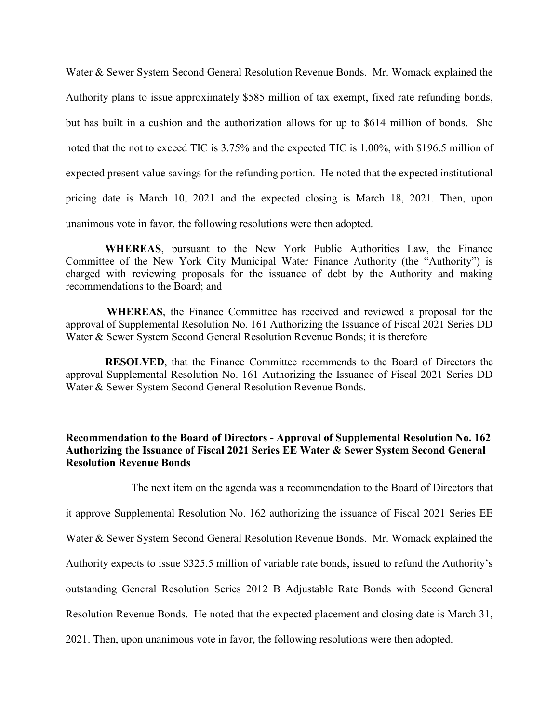Water & Sewer System Second General Resolution Revenue Bonds. Mr. Womack explained the Authority plans to issue approximately \$585 million of tax exempt, fixed rate refunding bonds, but has built in a cushion and the authorization allows for up to \$614 million of bonds. She noted that the not to exceed TIC is 3.75% and the expected TIC is 1.00%, with \$196.5 million of expected present value savings for the refunding portion. He noted that the expected institutional pricing date is March 10, 2021 and the expected closing is March 18, 2021. Then, upon unanimous vote in favor, the following resolutions were then adopted.

**WHEREAS**, pursuant to the New York Public Authorities Law, the Finance Committee of the New York City Municipal Water Finance Authority (the "Authority") is charged with reviewing proposals for the issuance of debt by the Authority and making recommendations to the Board; and

**WHEREAS**, the Finance Committee has received and reviewed a proposal for the approval of Supplemental Resolution No. 161 Authorizing the Issuance of Fiscal 2021 Series DD Water & Sewer System Second General Resolution Revenue Bonds; it is therefore

**RESOLVED**, that the Finance Committee recommends to the Board of Directors the approval Supplemental Resolution No. 161 Authorizing the Issuance of Fiscal 2021 Series DD Water & Sewer System Second General Resolution Revenue Bonds.

# **Recommendation to the Board of Directors - Approval of Supplemental Resolution No. 162 Authorizing the Issuance of Fiscal 2021 Series EE Water & Sewer System Second General Resolution Revenue Bonds**

The next item on the agenda was a recommendation to the Board of Directors that it approve Supplemental Resolution No. 162 authorizing the issuance of Fiscal 2021 Series EE Water & Sewer System Second General Resolution Revenue Bonds. Mr. Womack explained the Authority expects to issue \$325.5 million of variable rate bonds, issued to refund the Authority's outstanding General Resolution Series 2012 B Adjustable Rate Bonds with Second General Resolution Revenue Bonds. He noted that the expected placement and closing date is March 31, 2021. Then, upon unanimous vote in favor, the following resolutions were then adopted.